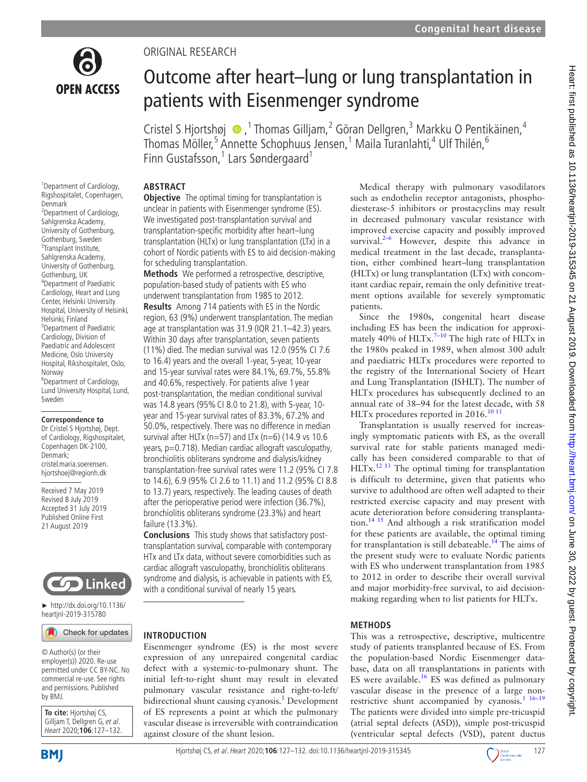

# Original research

# Outcome after heart–lung or lung transplantation in patients with Eisenmenger syndrome

CristelS Hjortshøj  $\bullet$ , <sup>1</sup> Thomas Gilljam, <sup>2</sup> Göran Dellgren, <sup>3</sup> Markku O Pentikäinen, <sup>4</sup> Thomas Möller,<sup>5</sup> Annette Schophuus Jensen, <sup>1</sup> Maila Turanlahti, <sup>4</sup> Ulf Thilén, <sup>6</sup> Finn Gustafsson, $1$  Lars Søndergaard $1$ 

## **Abstract**

<sup>1</sup> Department of Cardiology, Rigshospitalet, Copenhagen, Denmark <sup>2</sup>Department of Cardiology, Sahlgrenska Academy, University of Gothenburg, Gothenburg, Sweden <sup>3</sup>Transplant Institute, Sahlgrenska Academy, University of Gothenburg, Gothenburg, UK 4 Department of Paediatric Cardiology, Heart and Lung Center, Helsinki University Hospital, University of Helsinki, Helsinki, Finland 5 Department of Paediatric Cardiology, Division of Paediatric and Adolescent Medicine, Oslo University Hospital, Rikshospitalet, Oslo, Norway 6 Department of Cardiology, Lund University Hospital, Lund, Sweden

#### **Correspondence to**

Dr Cristel S Hjortshøj, Dept. of Cardiology, Rigshospitalet, Copenhagen DK-2100, Denmark; cristel.maria.soerensen. hjortshoej@regionh.dk

Received 7 May 2019 Revised 8 July 2019 Accepted 31 July 2019 Published Online First 21 August 2019



► [http://dx.doi.org/10.1136/](http://dx.doi.org/10.1136/heartjnl-2019-315780) [heartjnl-2019-315780](http://dx.doi.org/10.1136/heartjnl-2019-315780)

## Check for updates

© Author(s) (or their employer(s)) 2020. Re-use permitted under CC BY-NC. No commercial re-use. See rights and permissions. Published by BMJ.

**To cite:** Hjortshøj CS, Gilljam T, Dellgren G, et al. Heart 2020;**106**:127–132. **Objective** The optimal timing for transplantation is unclear in patients with Eisenmenger syndrome (ES). We investigated post-transplantation survival and transplantation-specific morbidity after heart–lung transplantation (HLTx) or lung transplantation (LTx) in a cohort of Nordic patients with ES to aid decision-making for scheduling transplantation.

**Methods** We performed a retrospective, descriptive, population-based study of patients with ES who underwent transplantation from 1985 to 2012. **Results** Among 714 patients with ES in the Nordic region, 63 (9%) underwent transplantation. The median age at transplantation was 31.9 (IQR 21.1–42.3) years. Within 30 days after transplantation, seven patients (11%) died. The median survival was 12.0 (95% CI 7.6 to 16.4) years and the overall 1-year, 5-year, 10-year and 15-year survival rates were 84.1%, 69.7%, 55.8% and 40.6%, respectively. For patients alive 1 year post-transplantation, the median conditional survival was 14.8 years (95% CI 8.0 to 21.8), with 5-year, 10 year and 15-year survival rates of 83.3%, 67.2% and 50.0%, respectively. There was no difference in median survival after HLTx ( $n=57$ ) and LTx ( $n=6$ ) (14.9 vs 10.6 years, p=0.718). Median cardiac allograft vasculopathy, bronchiolitis obliterans syndrome and dialysis/kidney transplantation-free survival rates were 11.2 (95% CI 7.8 to 14.6), 6.9 (95% CI 2.6 to 11.1) and 11.2 (95% CI 8.8 to 13.7) years, respectively. The leading causes of death after the perioperative period were infection (36.7%), bronchiolitis obliterans syndrome (23.3%) and heart failure (13.3%).

**Conclusions** This study shows that satisfactory posttransplantation survival, comparable with contemporary HTx and LTx data, without severe comorbidities such as cardiac allograft vasculopathy, bronchiolitis obliterans syndrome and dialysis, is achievable in patients with ES, with a conditional survival of nearly 15 years.

## **Introduction**

Eisenmenger syndrome (ES) is the most severe expression of any unrepaired congenital cardiac defect with a systemic-to-pulmonary shunt. The initial left-to-right shunt may result in elevated pulmonary vascular resistance and right-to-left/ bidirectional shunt causing cyanosis.<sup>[1](#page-5-0)</sup> Development of ES represents a point at which the pulmonary vascular disease is irreversible with contraindication against closure of the shunt lesion.

Medical therapy with pulmonary vasodilators such as endothelin receptor antagonists, phosphodiesterase-5 inhibitors or prostacyclins may result in decreased pulmonary vascular resistance with improved exercise capacity and possibly improved survival. $2-6$  However, despite this advance in medical treatment in the last decade, transplantation, either combined heart–lung transplantation (HLTx) or lung transplantation (LTx) with concomitant cardiac repair, remain the only definitive treatment options available for severely symptomatic patients.

Since the 1980s, congenital heart disease including ES has been the indication for approximately  $\frac{6}{40\%}$  of HLTx.<sup>7-10</sup> The high rate of HLTx in the 1980s peaked in 1989, when almost 300 adult and paediatric HLTx procedures were reported to the registry of the International Society of Heart and Lung Transplantation (ISHLT). The number of HLTx procedures has subsequently declined to an annual rate of 38–94 for the latest decade, with 58 HLTx procedures reported in 2016.<sup>[10 11](#page-5-3)</sup>

Transplantation is usually reserved for increasingly symptomatic patients with ES, as the overall survival rate for stable patients managed medically has been considered comparable to that of  $HLT<sub>x</sub>$ <sup>12 13</sup> The optimal timing for transplantation is difficult to determine, given that patients who survive to adulthood are often well adapted to their restricted exercise capacity and may present with acute deterioration before considering transplanta-tion.<sup>[14 15](#page-5-5)</sup> And although a risk stratification model for these patients are available, the optimal timing for transplantation is still debateable.[14](#page-5-5) The aims of the present study were to evaluate Nordic patients with ES who underwent transplantation from 1985 to 2012 in order to describe their overall survival and major morbidity-free survival, to aid decisionmaking regarding when to list patients for HLTx.

## **Methods**

This was a retrospective, descriptive, multicentre study of patients transplanted because of ES. From the population-based Nordic Eisenmenger database, data on all transplantations in patients with ES were available.<sup>16</sup> ES was defined as pulmonary vascular disease in the presence of a large nonrestrictive shunt accompanied by cyanosis. $1\frac{16-19}{16-19}$ The patients were divided into simple pre-tricuspid (atrial septal defects (ASD)), simple post-tricuspid (ventricular septal defects (VSD), patent ductus

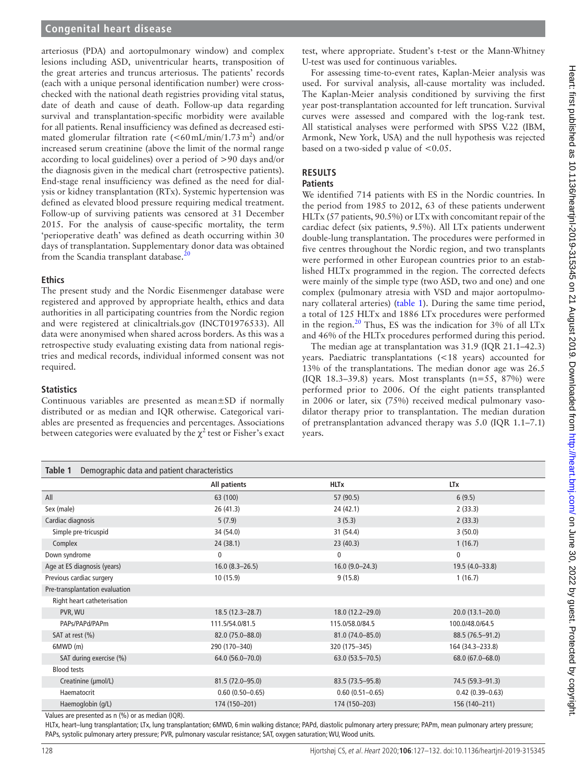arteriosus (PDA) and aortopulmonary window) and complex lesions including ASD, univentricular hearts, transposition of the great arteries and truncus arteriosus. The patients' records (each with a unique personal identification number) were crosschecked with the national death registries providing vital status, date of death and cause of death. Follow-up data regarding survival and transplantation-specific morbidity were available for all patients. Renal insufficiency was defined as decreased estimated glomerular filtration rate  $(<\!60 \,\text{mL/min}/1.73 \,\text{m}^2)$  and/or increased serum creatinine (above the limit of the normal range according to local guidelines) over a period of >90 days and/or the diagnosis given in the medical chart (retrospective patients). End-stage renal insufficiency was defined as the need for dialysis or kidney transplantation (RTx). Systemic hypertension was defined as elevated blood pressure requiring medical treatment. Follow-up of surviving patients was censored at 31 December 2015. For the analysis of cause-specific mortality, the term 'perioperative death' was defined as death occurring within 30 days of transplantation. Supplementary donor data was obtained from the Scandia transplant database.<sup>[20](#page-5-7)</sup>

## **Ethics**

The present study and the Nordic Eisenmenger database were registered and approved by appropriate health, ethics and data authorities in all participating countries from the Nordic region and were registered at clinicaltrials.gov (INCT01976533). All data were anonymised when shared across borders. As this was a retrospective study evaluating existing data from national registries and medical records, individual informed consent was not required.

## **Statistics**

Continuous variables are presented as mean±SD if normally distributed or as median and IQR otherwise. Categorical variables are presented as frequencies and percentages. Associations between categories were evaluated by the  $\chi^2$  test or Fisher's exact

test, where appropriate. Student's t-test or the Mann-Whitney U-test was used for continuous variables.

For assessing time-to-event rates, Kaplan-Meier analysis was used. For survival analysis, all-cause mortality was included. The Kaplan-Meier analysis conditioned by surviving the first year post-transplantation accounted for left truncation. Survival curves were assessed and compared with the log-rank test. All statistical analyses were performed with SPSS V.22 (IBM, Armonk, New York, USA) and the null hypothesis was rejected based on a two-sided p value of <0.05.

# **Results**

# **Patients**

We identified 714 patients with ES in the Nordic countries. In the period from 1985 to 2012, 63 of these patients underwent HLTx (57 patients, 90.5%) or LTx with concomitant repair of the cardiac defect (six patients, 9.5%). All LTx patients underwent double-lung transplantation. The procedures were performed in five centres throughout the Nordic region, and two transplants were performed in other European countries prior to an established HLTx programmed in the region. The corrected defects were mainly of the simple type (two ASD, two and one) and one complex (pulmonary atresia with VSD and major aortopulmonary collateral arteries) ([table](#page-1-0) 1). During the same time period, a total of 125 HLTx and 1886 LTx procedures were performed in the region.[20](#page-5-7) Thus, ES was the indication for 3% of all LTx and 46% of the HLTx procedures performed during this period.

The median age at transplantation was 31.9 (IQR 21.1–42.3) years. Paediatric transplantations (<18 years) accounted for 13% of the transplantations. The median donor age was 26.5 (IQR 18.3–39.8) years. Most transplants  $(n=55, 87%)$  were performed prior to 2006. Of the eight patients transplanted in 2006 or later, six (75%) received medical pulmonary vasodilator therapy prior to transplantation. The median duration of pretransplantation advanced therapy was 5.0 (IQR 1.1–7.1) years.

<span id="page-1-0"></span>

| Table 1<br>Demographic data and patient characteristics |                     |                     |                     |  |
|---------------------------------------------------------|---------------------|---------------------|---------------------|--|
|                                                         | All patients        | <b>HLTx</b>         | <b>LTx</b>          |  |
| All                                                     | 63 (100)            | 57 (90.5)           | 6(9.5)              |  |
| Sex (male)                                              | 26(41.3)            | 24(42.1)            | 2(33.3)             |  |
| Cardiac diagnosis                                       | 5(7.9)              | 3(5.3)              | 2(33.3)             |  |
| Simple pre-tricuspid                                    | 34 (54.0)           | 31 (54.4)           | 3(50.0)             |  |
| Complex                                                 | 24(38.1)            | 23(40.3)            | 1(16.7)             |  |
| Down syndrome                                           | 0                   | 0                   | 0                   |  |
| Age at ES diagnosis (years)                             | $16.0 (8.3 - 26.5)$ | $16.0(9.0-24.3)$    | 19.5 (4.0-33.8)     |  |
| Previous cardiac surgery                                | 10(15.9)            | 9(15.8)             | 1(16.7)             |  |
| Pre-transplantation evaluation                          |                     |                     |                     |  |
| Right heart catheterisation                             |                     |                     |                     |  |
| PVR, WU                                                 | $18.5(12.3 - 28.7)$ | 18.0 (12.2-29.0)    | $20.0(13.1 - 20.0)$ |  |
| PAPs/PAPd/PAPm                                          | 111.5/54.0/81.5     | 115.0/58.0/84.5     | 100.0/48.0/64.5     |  |
| SAT at rest (%)                                         | 82.0 (75.0-88.0)    | 81.0 (74.0-85.0)    | 88.5 (76.5-91.2)    |  |
| 6MWD(m)                                                 | 290 (170-340)       | 320 (175-345)       | 164 (34.3-233.8)    |  |
| SAT during exercise (%)                                 | 64.0 (56.0-70.0)    | $63.0(53.5 - 70.5)$ | 68.0 (67.0-68.0)    |  |
| <b>Blood tests</b>                                      |                     |                     |                     |  |
| Creatinine (µmol/L)                                     | 81.5 (72.0-95.0)    | 83.5 (73.5-95.8)    | 74.5 (59.3-91.3)    |  |
| Haematocrit                                             | $0.60(0.50 - 0.65)$ | $0.60(0.51 - 0.65)$ | $0.42(0.39 - 0.63)$ |  |
| Haemoglobin (g/L)                                       | 174 (150-201)       | 174 (150-203)       | 156 (140-211)       |  |

Values are presented as n (%) or as median (IQR).

HLTx, heart–lung transplantation; LTx, lung transplantation; 6MWD, 6 min walking distance; PAPd, diastolic pulmonary artery pressure; PAPm, mean pulmonary artery pressure; PAPs, systolic pulmonary artery pressure; PVR, pulmonary vascular resistance; SAT, oxygen saturation; WU, Wood units.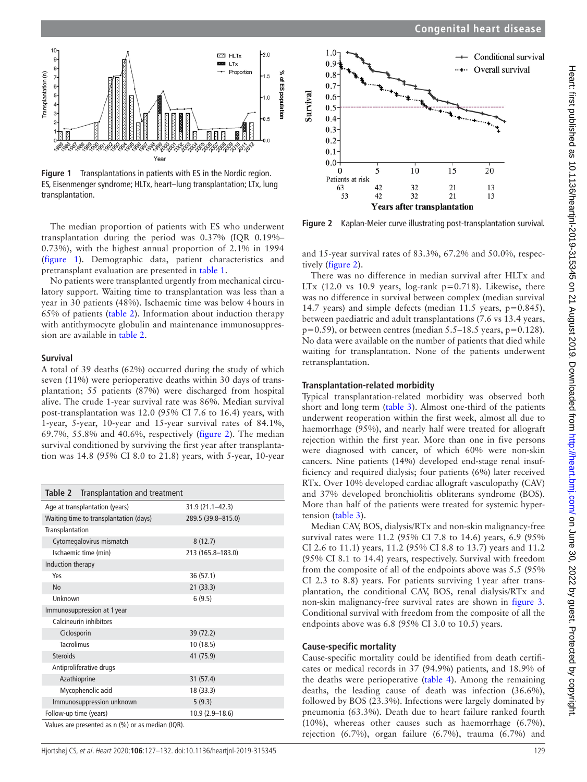

<span id="page-2-0"></span>**Figure 1** Transplantations in patients with ES in the Nordic region. ES, Eisenmenger syndrome; HLTx, heart–lung transplantation; LTx, lung transplantation.

transplantation during the period was 0.37% (IQR 0.19%– 0.73%), with the highest annual proportion of 2.1% in 1994 ([figure](#page-2-0) 1). Demographic data, patient characteristics and pretransplant evaluation are presented in [table](#page-1-0) 1.

No patients were transplanted urgently from mechanical circulatory support. Waiting time to transplantation was less than a year in 30 patients (48%). Ischaemic time was below 4hours in 65% of patients [\(table](#page-2-1) 2). Information about induction therapy with antithymocyte globulin and maintenance immunosuppression are available in [table](#page-2-1) 2.

#### **Survival**

A total of 39 deaths (62%) occurred during the study of which seven (11%) were perioperative deaths within 30 days of transplantation; 55 patients (87%) were discharged from hospital alive. The crude 1-year survival rate was 86%. Median survival post-transplantation was 12.0 (95% CI 7.6 to 16.4) years, with 1-year, 5-year, 10-year and 15-year survival rates of 84.1%, 69.7%, 55.8% and 40.6%, respectively [\(figure](#page-2-2) 2). The median survival conditioned by surviving the first year after transplantation was 14.8 (95% CI 8.0 to 21.8) years, with 5-year, 10-year

<span id="page-2-1"></span>

| Table 2                                                      | Transplantation and treatment                     |                     |
|--------------------------------------------------------------|---------------------------------------------------|---------------------|
|                                                              | Age at transplantation (years)                    | $31.9(21.1 - 42.3)$ |
| Waiting time to transplantation (days)<br>289.5 (39.8-815.0) |                                                   |                     |
| Transplantation                                              |                                                   |                     |
| Cytomegalovirus mismatch                                     |                                                   | 8(12.7)             |
| Ischaemic time (min)                                         |                                                   | 213 (165.8-183.0)   |
| Induction therapy                                            |                                                   |                     |
| Yes                                                          |                                                   | 36 (57.1)           |
| <b>No</b>                                                    |                                                   | 21(33.3)            |
| Unknown                                                      |                                                   | 6(9.5)              |
|                                                              | Immunosuppression at 1 year                       |                     |
|                                                              | Calcineurin inhibitors                            |                     |
| Ciclosporin                                                  |                                                   | 39 (72.2)           |
| <b>Tacrolimus</b>                                            |                                                   | 10(18.5)            |
| <b>Steroids</b>                                              |                                                   | 41 (75.9)           |
|                                                              | Antiproliferative drugs                           |                     |
|                                                              | Azathioprine                                      | 31(57.4)            |
|                                                              | Mycophenolic acid                                 | 18 (33.3)           |
|                                                              | Immunosuppression unknown                         | 5(9.3)              |
| Follow-up time (years)                                       |                                                   | 10.9 (2.9-18.6)     |
|                                                              | Values are presented as n (%) or as median (IOR). |                     |

Values are presented as n (%) or as median (IQR).



**Figure 2** Kaplan-Meier curve illustrating post-transplantation survival. The median proportion of patients with ES who underwent

<span id="page-2-2"></span>and 15-year survival rates of 83.3%, 67.2% and 50.0%, respectively [\(figure](#page-2-2) 2).

There was no difference in median survival after HLTx and LTx (12.0 vs 10.9 years, log-rank  $p=0.718$ ). Likewise, there was no difference in survival between complex (median survival 14.7 years) and simple defects (median 11.5 years, p=0.845), between paediatric and adult transplantations (7.6 vs 13.4 years,  $p=0.59$ ), or between centres (median 5.5–18.5 years,  $p=0.128$ ). No data were available on the number of patients that died while waiting for transplantation. None of the patients underwent retransplantation.

#### **Transplantation-related morbidity**

Typical transplantation-related morbidity was observed both short and long term [\(table](#page-3-0) 3). Almost one-third of the patients underwent reoperation within the first week, almost all due to haemorrhage (95%), and nearly half were treated for allograft rejection within the first year. More than one in five persons were diagnosed with cancer, of which 60% were non-skin cancers. Nine patients (14%) developed end-stage renal insufficiency and required dialysis; four patients (6%) later received RTx. Over 10% developed cardiac allograft vasculopathy (CAV) and 37% developed bronchiolitis obliterans syndrome (BOS). More than half of the patients were treated for systemic hypertension [\(table](#page-3-0) 3).

Median CAV, BOS, dialysis/RTx and non-skin malignancy-free survival rates were 11.2 (95% CI 7.8 to 14.6) years, 6.9 (95% CI 2.6 to 11.1) years, 11.2 (95% CI 8.8 to 13.7) years and 11.2 (95% CI 8.1 to 14.4) years, respectively. Survival with freedom from the composite of all of the endpoints above was 5.5 (95% CI 2.3 to 8.8) years. For patients surviving 1year after transplantation, the conditional CAV, BOS, renal dialysis/RTx and non-skin malignancy-free survival rates are shown in [figure](#page-3-1) 3. Conditional survival with freedom from the composite of all the endpoints above was 6.8 (95% CI 3.0 to 10.5) years.

#### **Cause-specific mortality**

Cause-specific mortality could be identified from death certificates or medical records in 37 (94.9%) patients, and 18.9% of the deaths were perioperative ([table](#page-3-2) 4). Among the remaining deaths, the leading cause of death was infection (36.6%), followed by BOS (23.3%). Infections were largely dominated by pneumonia (63.3%). Death due to heart failure ranked fourth (10%), whereas other causes such as haemorrhage (6.7%), rejection (6.7%), organ failure (6.7%), trauma (6.7%) and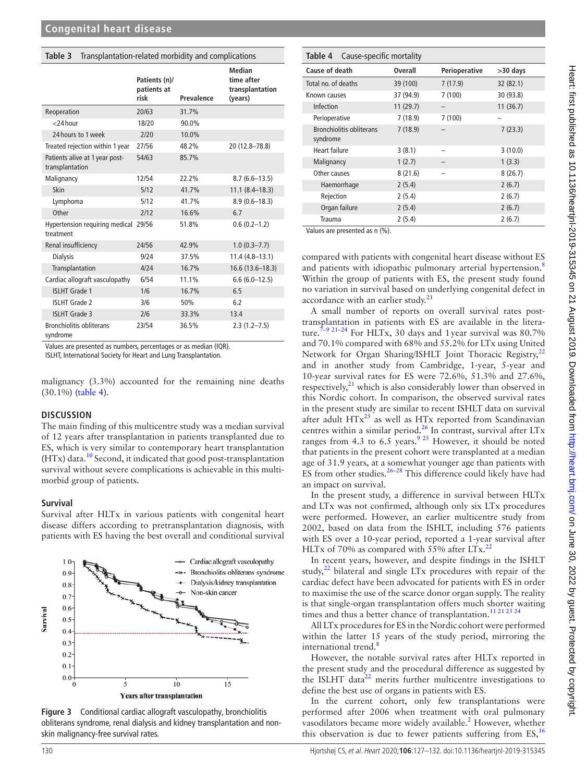<span id="page-3-0"></span>

| Table 3 Transplantation-related morbidity and complications |  |
|-------------------------------------------------------------|--|
|                                                             |  |

|                                                   | Patients (n)/<br>patients at<br>risk | Prevalence | <b>Median</b><br>time after<br>transplantation<br>(years) |
|---------------------------------------------------|--------------------------------------|------------|-----------------------------------------------------------|
| Reoperation                                       | 20/63                                | 31.7%      |                                                           |
| $<$ 24 hour                                       | 18/20                                | 90.0%      |                                                           |
| 24 hours to 1 week                                | 2/20                                 | 10.0%      |                                                           |
| Treated rejection within 1 year                   | 27/56                                | 48.2%      | 20 (12.8-78.8)                                            |
| Patients alive at 1 year post-<br>transplantation | 54/63                                | 85.7%      |                                                           |
| Malignancy                                        | 12/54                                | 22.2%      | $8.7(6.6-13.5)$                                           |
| Skin                                              | 5/12                                 | 41.7%      | $11.1 (8.4 - 18.3)$                                       |
| Lymphoma                                          | 5/12                                 | 41.7%      | $8.9(0.6 - 18.3)$                                         |
| Other                                             | 2/12                                 | 16.6%      | 6.7                                                       |
| Hypertension requiring medical 29/56<br>treatment |                                      | 51.8%      | $0.6(0.2-1.2)$                                            |
| Renal insufficiency                               | 24/56                                | 42.9%      | $1.0(0.3 - 7.7)$                                          |
| <b>Dialysis</b>                                   | 9/24                                 | 37.5%      | $11.4(4.8-13.1)$                                          |
| Transplantation                                   | 4/24                                 | 16.7%      | $16.6(13.6 - 18.3)$                                       |
| Cardiac allograft vasculopathy                    | 6/54                                 | 11.1%      | $6.6(6.0-12.5)$                                           |
| <b>ISLHT Grade 1</b>                              | 1/6                                  | 16.7%      | 6.5                                                       |
| <b>ISLHT Grade 2</b>                              | 3/6                                  | 50%        | 6.2                                                       |
| <b>ISLHT Grade 3</b>                              | 2/6                                  | 33.3%      | 13.4                                                      |
| <b>Bronchiolitis obliterans</b><br>syndrome       | 23/54                                | 36.5%      | $2.3(1.2 - 7.5)$                                          |

Values are presented as numbers, percentages or as median (IQR).

ISLHT, International Society for Heart and Lung Transplantation.

malignancy (3.3%) accounted for the remaining nine deaths (30.1%) [\(table](#page-3-2) 4).

#### **Discussion**

The main finding of this multicentre study was a median survival of 12 years after transplantation in patients transplanted due to ES, which is very similar to contemporary heart transplantation  $(HTx)$  data.<sup>10</sup> Second, it indicated that good post-transplantation survival without severe complications is achievable in this multimorbid group of patients.

#### **Survival**

Survival after HLTx in various patients with congenital heart disease differs according to pretransplantation diagnosis, with patients with ES having the best overall and conditional survival



<span id="page-3-1"></span>

<span id="page-3-2"></span>

| Cause-specific mortality<br>Table 4         |                |               |            |
|---------------------------------------------|----------------|---------------|------------|
| Cause of death                              | <b>Overall</b> | Perioperative | $>30$ days |
| Total no. of deaths                         | 39 (100)       | 7(17.9)       | 32 (82.1)  |
| Known causes                                | 37 (94.9)      | 7(100)        | 30 (93.8)  |
| Infection                                   | 11 (29.7)      |               | 11(36.7)   |
| Perioperative                               | 7(18.9)        | 7(100)        |            |
| <b>Bronchiolitis obliterans</b><br>syndrome | 7(18.9)        |               | 7(23.3)    |
| Heart failure                               | 3(8.1)         |               | 3(10.0)    |
| Malignancy                                  | 1(2.7)         |               | 1(3.3)     |
| Other causes                                | 8(21.6)        |               | 8(26.7)    |
| Haemorrhage                                 | 2(5.4)         |               | 2(6.7)     |
| Rejection                                   | 2(5.4)         |               | 2(6.7)     |
| Organ failure                               | 2(5.4)         |               | 2(6.7)     |
| Trauma                                      | 2(5.4)         |               | 2(6.7)     |

Values are presented as n (%).

compared with patients with congenital heart disease without ES and patients with idiopathic pulmonary arterial hypertension.<sup>[8](#page-5-8)</sup> Within the group of patients with ES, the present study found no variation in survival based on underlying congenital defect in accordance with an earlier study. $21$ 

A small number of reports on overall survival rates posttransplantation in patients with ES are available in the literature.<sup> $7-9$  21-24</sup> For HLTx, 30 days and 1 year survival was 80.7% and 70.1% compared with 68% and 55.2% for LTx using United Network for Organ Sharing/ISHLT Joint Thoracic Registry,<sup>[22](#page-5-10)</sup> and in another study from Cambridge, 1-year, 5-year and 10-year survival rates for ES were 72.6%, 51.3% and 27.6%, respectively, $21$  which is also considerably lower than observed in this Nordic cohort. In comparison, the observed survival rates in the present study are similar to recent ISHLT data on survival after adult  $HTx^{25}$  $HTx^{25}$  $HTx^{25}$  as well as  $HTx$  reported from Scandinavian centres within a similar period.<sup>[26](#page-5-12)</sup> In contrast, survival after  $LTx$ ranges from 4.3 to 6.5 years.<sup>9</sup> <sup>25</sup> However, it should be noted that patients in the present cohort were transplanted at a median age of 31.9 years, at a somewhat younger age than patients with ES from other studies. $26-28$  This difference could likely have had an impact on survival.

In the present study, a difference in survival between HLTx and LTx was not confirmed, although only six LTx procedures were performed. However, an earlier multicentre study from 2002, based on data from the ISHLT, including 576 patients with ES over a 10-year period, reported a 1-year survival after HLTx of 70% as compared with 55% after  $LTx$ <sup>[22](#page-5-10)</sup>

In recent years, however, and despite findings in the ISHLT study, $22$  bilateral and single LTx procedures with repair of the cardiac defect have been advocated for patients with ES in order to maximise the use of the scarce donor organ supply. The reality is that single-organ transplantation offers much shorter waiting times and thus a better chance of transplantation.<sup>11 21 23</sup> <sup>2</sup>

All LTx procedures for ES in the Nordic cohort were performed within the latter 15 years of the study period, mirroring the international trend.<sup>[8](#page-5-8)</sup>

However, the notable survival rates after HLTx reported in the present study and the procedural difference as suggested by the ISLHT data $^{22}$  merits further multicentre investigations to define the best use of organs in patients with ES.

In the current cohort, only few transplantations were performed after 2006 when treatment with oral pulmonary vasodilators became more widely available.<sup>[2](#page-5-1)</sup> However, whether this observation is due to fewer patients suffering from  $ES<sub>16</sub>$  $ES<sub>16</sub>$  $ES<sub>16</sub>$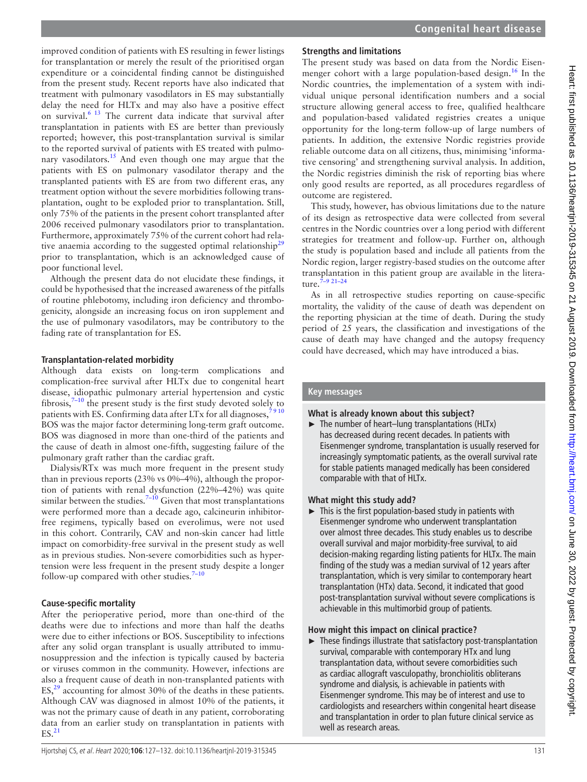improved condition of patients with ES resulting in fewer listings for transplantation or merely the result of the prioritised organ expenditure or a coincidental finding cannot be distinguished from the present study. Recent reports have also indicated that treatment with pulmonary vasodilators in ES may substantially delay the need for HLTx and may also have a positive effect on survival[.6 13](#page-5-15) The current data indicate that survival after transplantation in patients with ES are better than previously reported; however, this post-transplantation survival is similar to the reported survival of patients with ES treated with pulmonary vasodilators.<sup>15</sup> And even though one may argue that the patients with ES on pulmonary vasodilator therapy and the transplanted patients with ES are from two different eras, any treatment option without the severe morbidities following transplantation, ought to be exploded prior to transplantation. Still, only 75% of the patients in the present cohort transplanted after 2006 received pulmonary vasodilators prior to transplantation. Furthermore, approximately 75% of the current cohort had rela-tive anaemia according to the suggested optimal relationship<sup>[29](#page-5-17)</sup> prior to transplantation, which is an acknowledged cause of poor functional level.

Although the present data do not elucidate these findings, it could be hypothesised that the increased awareness of the pitfalls of routine phlebotomy, including iron deficiency and thrombogenicity, alongside an increasing focus on iron supplement and the use of pulmonary vasodilators, may be contributory to the fading rate of transplantation for ES.

## **Transplantation-related morbidity**

Although data exists on long-term complications and complication-free survival after HLTx due to congenital heart disease, idiopathic pulmonary arterial hypertension and cystic fibrosis, $7-10$  the present study is the first study devoted solely to patients with ES. Confirming data after LTx for all diagnoses,  $7910$ BOS was the major factor determining long-term graft outcome. BOS was diagnosed in more than one-third of the patients and the cause of death in almost one-fifth, suggesting failure of the pulmonary graft rather than the cardiac graft.

Dialysis/RTx was much more frequent in the present study than in previous reports (23% vs 0%–4%), although the proportion of patients with renal dysfunction (22%–42%) was quite similar between the studies.<sup>7-10</sup> Given that most transplantations were performed more than a decade ago, calcineurin inhibitorfree regimens, typically based on everolimus, were not used in this cohort. Contrarily, CAV and non-skin cancer had little impact on comorbidity-free survival in the present study as well as in previous studies. Non-severe comorbidities such as hypertension were less frequent in the present study despite a longer follow-up compared with other studies. $7-10$ 

# **Cause-specific mortality**

After the perioperative period, more than one-third of the deaths were due to infections and more than half the deaths were due to either infections or BOS. Susceptibility to infections after any solid organ transplant is usually attributed to immunosuppression and the infection is typically caused by bacteria or viruses common in the community. However, infections are also a frequent cause of death in non-transplanted patients with ES, $^{29}$  accounting for almost 30% of the deaths in these patients. Although CAV was diagnosed in almost 10% of the patients, it was not the primary cause of death in any patient, corroborating data from an earlier study on transplantation in patients with  $ES.<sup>21</sup>$ 

# **Strengths and limitations**

The present study was based on data from the Nordic Eisenmenger cohort with a large population-based design.<sup>16</sup> In the Nordic countries, the implementation of a system with individual unique personal identification numbers and a social structure allowing general access to free, qualified healthcare and population-based validated registries creates a unique opportunity for the long-term follow-up of large numbers of patients. In addition, the extensive Nordic registries provide reliable outcome data on all citizens, thus, minimising 'informative censoring' and strengthening survival analysis. In addition, the Nordic registries diminish the risk of reporting bias where only good results are reported, as all procedures regardless of outcome are registered.

This study, however, has obvious limitations due to the nature of its design as retrospective data were collected from several centres in the Nordic countries over a long period with different strategies for treatment and follow-up. Further on, although the study is population based and include all patients from the Nordic region, larger registry-based studies on the outcome after transplantation in this patient group are available in the literature.[7–9 21–24](#page-5-2)

As in all retrospective studies reporting on cause-specific mortality, the validity of the cause of death was dependent on the reporting physician at the time of death. During the study period of 25 years, the classification and investigations of the cause of death may have changed and the autopsy frequency could have decreased, which may have introduced a bias.

# **Key messages**

# **What is already known about this subject?**

 $\blacktriangleright$  The number of heart–lung transplantations (HLTx) has decreased during recent decades. In patients with Eisenmenger syndrome, transplantation is usually reserved for increasingly symptomatic patients, as the overall survival rate for stable patients managed medically has been considered comparable with that of HLTx.

# **What might this study add?**

 $\blacktriangleright$  This is the first population-based study in patients with Eisenmenger syndrome who underwent transplantation over almost three decades. This study enables us to describe overall survival and major morbidity-free survival, to aid decision-making regarding listing patients for HLTx. The main finding of the study was a median survival of 12 years after transplantation, which is very similar to contemporary heart transplantation (HTx) data. Second, it indicated that good post-transplantation survival without severe complications is achievable in this multimorbid group of patients.

## **How might this impact on clinical practice?**

 $\blacktriangleright$  These findings illustrate that satisfactory post-transplantation survival, comparable with contemporary HTx and lung transplantation data, without severe comorbidities such as cardiac allograft vasculopathy, bronchiolitis obliterans syndrome and dialysis, is achievable in patients with Eisenmenger syndrome. This may be of interest and use to cardiologists and researchers within congenital heart disease and transplantation in order to plan future clinical service as well as research areas.